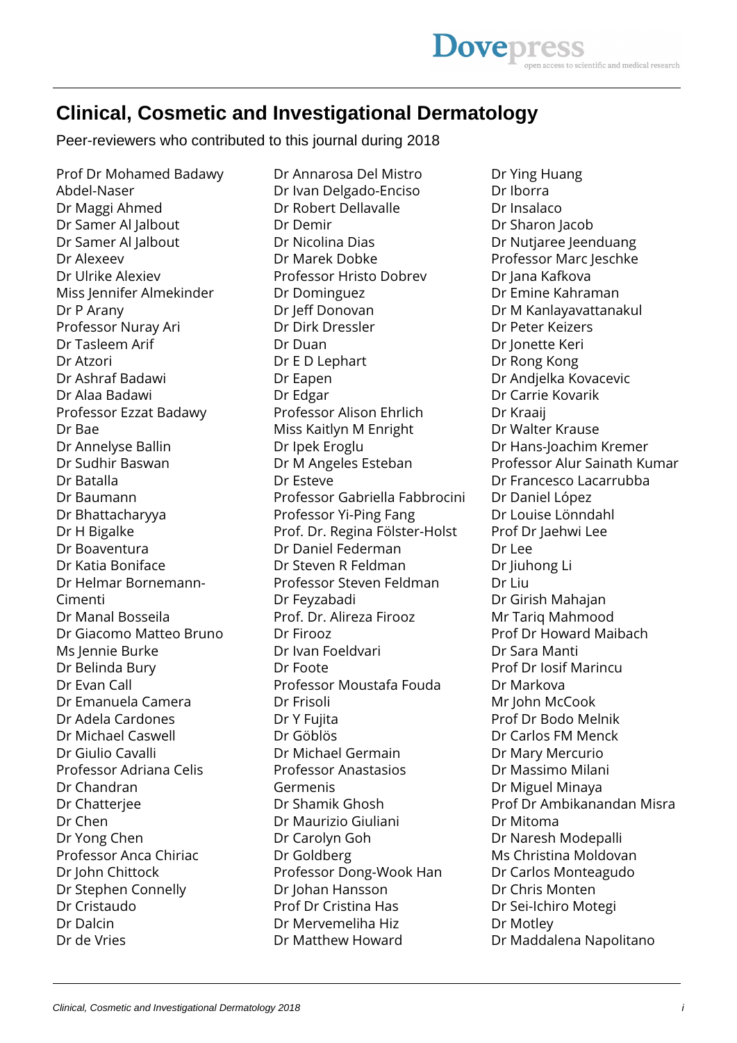## **Clinical, Cosmetic and Investigational Dermatology**

Peer-reviewers who contributed to this journal during 2018

Prof Dr Mohamed Badawy Abdel-Naser Dr Maggi Ahmed Dr Samer Al Jalbout Dr Samer Al Jalbout Dr Alexeev Dr Ulrike Alexiev Miss Jennifer Almekinder Dr P Arany Professor Nuray Ari Dr Tasleem Arif Dr Atzori Dr Ashraf Badawi Dr Alaa Badawi Professor Ezzat Badawy Dr Bae Dr Annelyse Ballin Dr Sudhir Baswan Dr Batalla Dr Baumann Dr Bhattacharyya Dr H Bigalke Dr Boaventura Dr Katia Boniface Dr Helmar Bornemann-Cimenti Dr Manal Bosseila Dr Giacomo Matteo Bruno Ms Jennie Burke Dr Belinda Bury Dr Evan Call Dr Emanuela Camera Dr Adela Cardones Dr Michael Caswell Dr Giulio Cavalli Professor Adriana Celis Dr Chandran Dr Chatterjee Dr Chen Dr Yong Chen Professor Anca Chiriac Dr John Chittock Dr Stephen Connelly Dr Cristaudo Dr Dalcin Dr de Vries

Dr Annarosa Del Mistro Dr Ivan Delgado-Enciso Dr Robert Dellavalle Dr Demir Dr Nicolina Dias Dr Marek Dobke Professor Hristo Dobrev Dr Dominguez Dr Jeff Donovan Dr Dirk Dressler Dr Duan Dr E D Lephart Dr Eapen Dr Edgar Professor Alison Ehrlich Miss Kaitlyn M Enright Dr Ipek Eroglu Dr M Angeles Esteban Dr Esteve Professor Gabriella Fabbrocini Professor Yi-Ping Fang Prof. Dr. Regina Fölster-Holst Dr Daniel Federman Dr Steven R Feldman Professor Steven Feldman Dr Feyzabadi Prof. Dr. Alireza Firooz Dr Firooz Dr Ivan Foeldvari Dr Foote Professor Moustafa Fouda Dr Frisoli Dr Y Fujita Dr Göblös Dr Michael Germain Professor Anastasios Germenis Dr Shamik Ghosh Dr Maurizio Giuliani Dr Carolyn Goh Dr Goldberg Professor Dong-Wook Han Dr Johan Hansson Prof Dr Cristina Has Dr Mervemeliha Hiz Dr Matthew Howard

Dr Ying Huang Dr Iborra Dr Insalaco Dr Sharon Jacob Dr Nutjaree Jeenduang Professor Marc Jeschke Dr Jana Kafkova Dr Emine Kahraman Dr M Kanlayavattanakul Dr Peter Keizers Dr Jonette Keri Dr Rong Kong Dr Andjelka Kovacevic Dr Carrie Kovarik Dr Kraaij Dr Walter Krause Dr Hans-Joachim Kremer Professor Alur Sainath Kumar Dr Francesco Lacarrubba Dr Daniel López Dr Louise Lönndahl Prof Dr Jaehwi Lee Dr Lee Dr Jiuhong Li Dr Liu Dr Girish Mahajan Mr Tariq Mahmood Prof Dr Howard Maibach Dr Sara Manti Prof Dr Iosif Marincu Dr Markova Mr John McCook Prof Dr Bodo Melnik Dr Carlos FM Menck Dr Mary Mercurio Dr Massimo Milani Dr Miguel Minaya Prof Dr Ambikanandan Misra Dr Mitoma Dr Naresh Modepalli Ms Christina Moldovan Dr Carlos Monteagudo Dr Chris Monten Dr Sei-Ichiro Motegi Dr Motley Dr Maddalena Napolitano